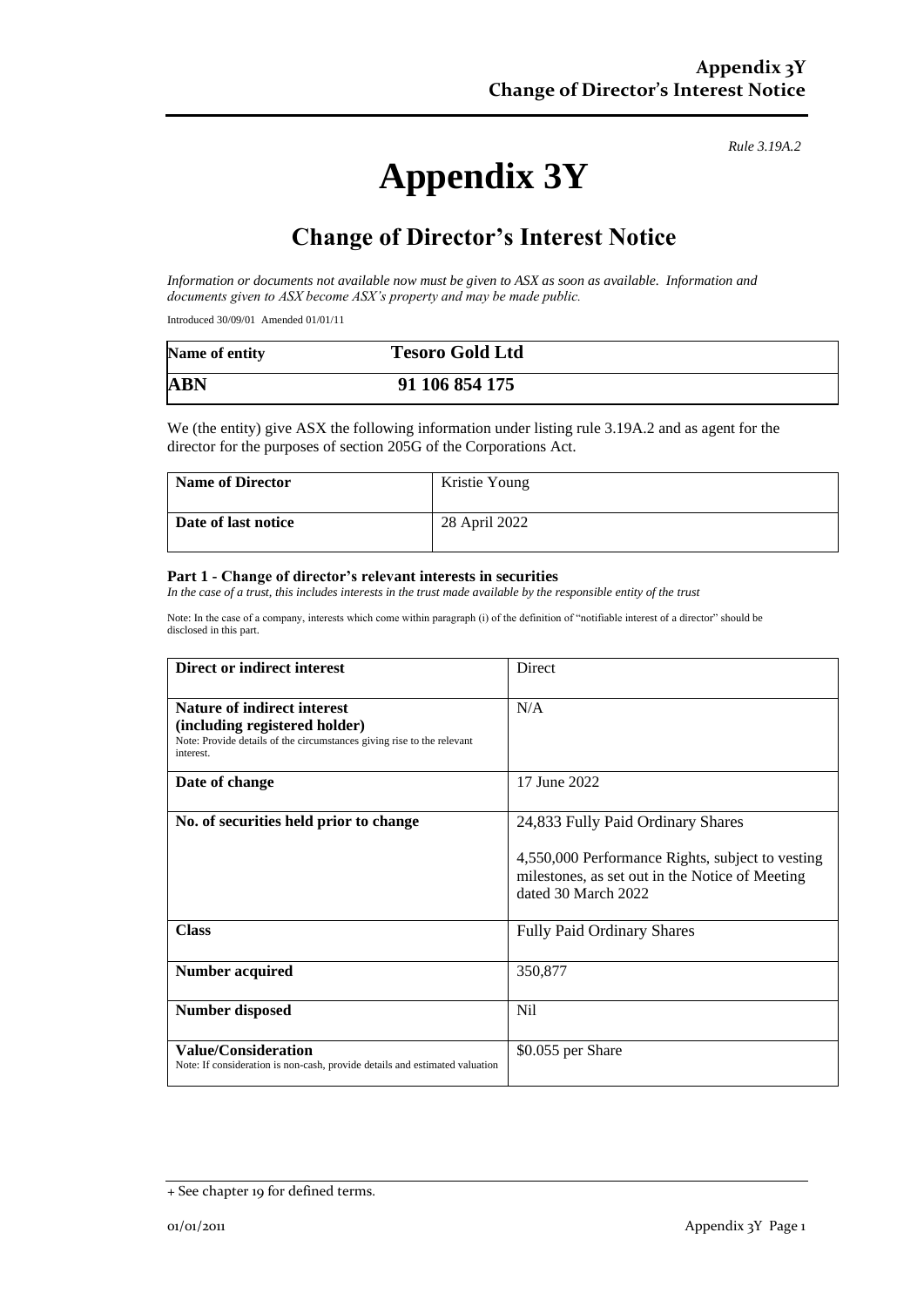*Rule 3.19A.2*

# **Appendix 3Y**

# **Change of Director's Interest Notice**

*Information or documents not available now must be given to ASX as soon as available. Information and documents given to ASX become ASX's property and may be made public.*

Introduced 30/09/01 Amended 01/01/11

| Name of entity | <b>Tesoro Gold Ltd</b> |
|----------------|------------------------|
| <b>ABN</b>     | 91 106 854 175         |

We (the entity) give ASX the following information under listing rule 3.19A.2 and as agent for the director for the purposes of section 205G of the Corporations Act.

| Name of Director    | Kristie Young |
|---------------------|---------------|
| Date of last notice | 28 April 2022 |

#### **Part 1 - Change of director's relevant interests in securities**

*In the case of a trust, this includes interests in the trust made available by the responsible entity of the trust*

Note: In the case of a company, interests which come within paragraph (i) of the definition of "notifiable interest of a director" should be disclosed in this part.

| Direct or indirect interest                                                                                                                                | <b>Direct</b>                                                                                                                                                   |
|------------------------------------------------------------------------------------------------------------------------------------------------------------|-----------------------------------------------------------------------------------------------------------------------------------------------------------------|
| <b>Nature of indirect interest</b><br>(including registered holder)<br>Note: Provide details of the circumstances giving rise to the relevant<br>interest. | N/A                                                                                                                                                             |
| Date of change                                                                                                                                             | 17 June 2022                                                                                                                                                    |
| No. of securities held prior to change                                                                                                                     | 24,833 Fully Paid Ordinary Shares<br>4,550,000 Performance Rights, subject to vesting<br>milestones, as set out in the Notice of Meeting<br>dated 30 March 2022 |
| <b>Class</b>                                                                                                                                               | <b>Fully Paid Ordinary Shares</b>                                                                                                                               |
| <b>Number acquired</b>                                                                                                                                     | 350,877                                                                                                                                                         |
| <b>Number disposed</b>                                                                                                                                     | N <sub>i</sub>                                                                                                                                                  |
| <b>Value/Consideration</b><br>Note: If consideration is non-cash, provide details and estimated valuation                                                  | \$0.055 per Share                                                                                                                                               |

<sup>+</sup> See chapter 19 for defined terms.